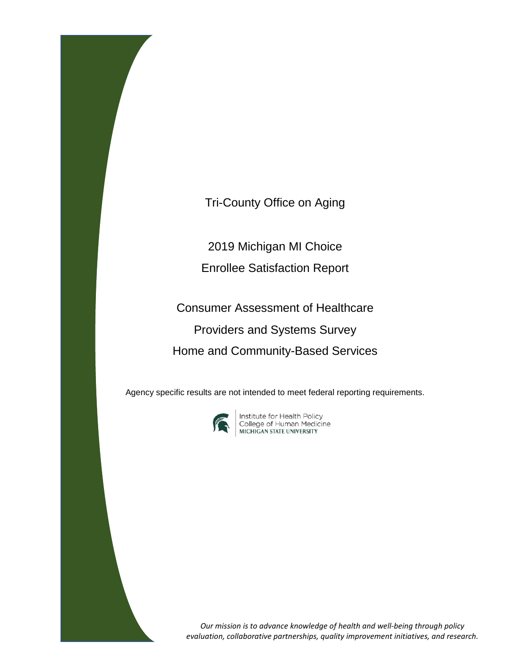Tri-County Office on Aging

2019 Michigan MI Choice

Enrollee Satisfaction Report

Consumer Assessment of Healthcare Providers and Systems Survey Home and Community-Based Services

Agency specific results are not intended to meet federal reporting requirements.



**Institute for Health Policy<br>College of Human Medicine<br>MICHIGAN STATE UNIVERSITY** 

*Our mission is to advance knowledge of health and well-being through policy evaluation, collaborative partnerships, quality improvement initiatives, and research.*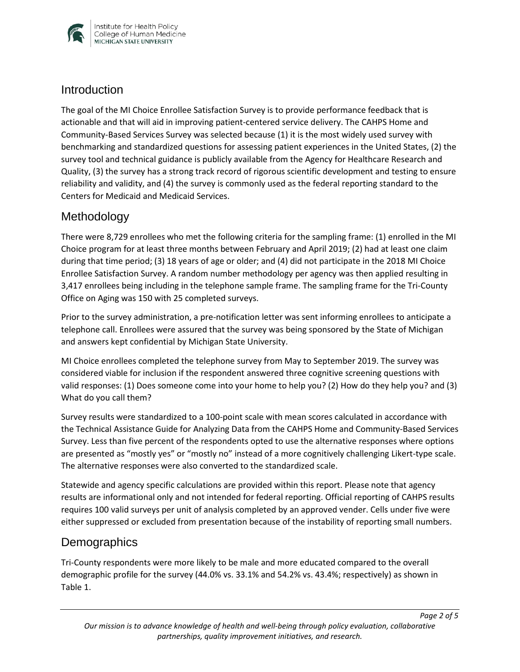

### **Introduction**

The goal of the MI Choice Enrollee Satisfaction Survey is to provide performance feedback that is actionable and that will aid in improving patient-centered service delivery. The CAHPS Home and Community-Based Services Survey was selected because (1) it is the most widely used survey with benchmarking and standardized questions for assessing patient experiences in the United States, (2) the survey tool and technical guidance is publicly available from the Agency for Healthcare Research and Quality, (3) the survey has a strong track record of rigorous scientific development and testing to ensure reliability and validity, and (4) the survey is commonly used as the federal reporting standard to the Centers for Medicaid and Medicaid Services.

## Methodology

There were 8,729 enrollees who met the following criteria for the sampling frame: (1) enrolled in the MI Choice program for at least three months between February and April 2019; (2) had at least one claim during that time period; (3) 18 years of age or older; and (4) did not participate in the 2018 MI Choice Enrollee Satisfaction Survey. A random number methodology per agency was then applied resulting in 3,417 enrollees being including in the telephone sample frame. The sampling frame for the Tri-County Office on Aging was 150 with 25 completed surveys.

Prior to the survey administration, a pre-notification letter was sent informing enrollees to anticipate a telephone call. Enrollees were assured that the survey was being sponsored by the State of Michigan and answers kept confidential by Michigan State University.

MI Choice enrollees completed the telephone survey from May to September 2019. The survey was considered viable for inclusion if the respondent answered three cognitive screening questions with valid responses: (1) Does someone come into your home to help you? (2) How do they help you? and (3) What do you call them?

Survey results were standardized to a 100-point scale with mean scores calculated in accordance with the Technical Assistance Guide for Analyzing Data from the CAHPS Home and Community-Based Services Survey. Less than five percent of the respondents opted to use the alternative responses where options are presented as "mostly yes" or "mostly no" instead of a more cognitively challenging Likert-type scale. The alternative responses were also converted to the standardized scale.

Statewide and agency specific calculations are provided within this report. Please note that agency results are informational only and not intended for federal reporting. Official reporting of CAHPS results requires 100 valid surveys per unit of analysis completed by an approved vender. Cells under five were either suppressed or excluded from presentation because of the instability of reporting small numbers.

## **Demographics**

Tri-County respondents were more likely to be male and more educated compared to the overall demographic profile for the survey (44.0% vs. 33.1% and 54.2% vs. 43.4%; respectively) as shown in Table 1.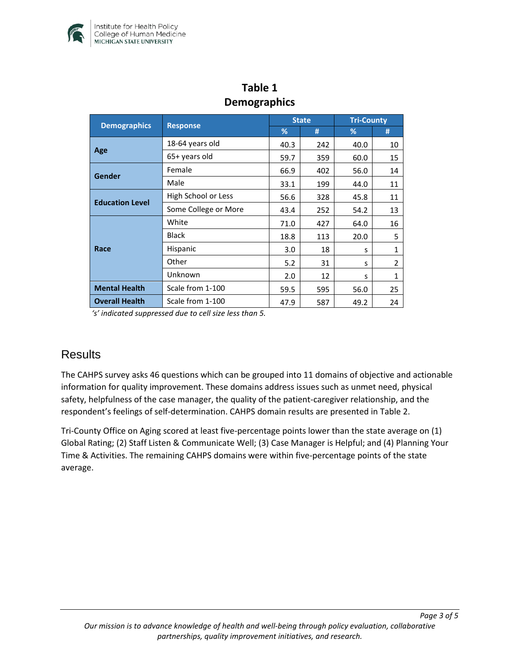

| Penisyispinsy          |                      |              |     |                   |                |  |  |  |
|------------------------|----------------------|--------------|-----|-------------------|----------------|--|--|--|
|                        | <b>Response</b>      | <b>State</b> |     | <b>Tri-County</b> |                |  |  |  |
| <b>Demographics</b>    |                      | %            | #   | %                 | #              |  |  |  |
| Age                    | 18-64 years old      | 40.3         | 242 | 40.0              | 10             |  |  |  |
|                        | 65+ years old        | 59.7         | 359 | 60.0              | 15             |  |  |  |
| Gender                 | Female               | 66.9         | 402 | 56.0              | 14             |  |  |  |
|                        | Male                 | 33.1         | 199 | 44.0              | 11             |  |  |  |
| <b>Education Level</b> | High School or Less  | 56.6         | 328 | 45.8              | 11             |  |  |  |
|                        | Some College or More | 43.4         | 252 | 54.2              | 13             |  |  |  |
| Race                   | White                | 71.0         | 427 | 64.0              | 16             |  |  |  |
|                        | <b>Black</b>         | 18.8         | 113 | 20.0              | 5              |  |  |  |
|                        | Hispanic             | 3.0          | 18  | s                 | $\mathbf{1}$   |  |  |  |
|                        | Other                | 5.2          | 31  | s                 | $\overline{2}$ |  |  |  |
|                        | Unknown              | 2.0          | 12  | S                 | $\mathbf{1}$   |  |  |  |
| <b>Mental Health</b>   | Scale from 1-100     | 59.5         | 595 | 56.0              | 25             |  |  |  |
| <b>Overall Health</b>  | Scale from 1-100     | 47.9         | 587 | 49.2              | 24             |  |  |  |

## **Table 1 Demographics**

*'s' indicated suppressed due to cell size less than 5.* 

## **Results**

The CAHPS survey asks 46 questions which can be grouped into 11 domains of objective and actionable information for quality improvement. These domains address issues such as unmet need, physical safety, helpfulness of the case manager, the quality of the patient-caregiver relationship, and the respondent's feelings of self-determination. CAHPS domain results are presented in Table 2.

Tri-County Office on Aging scored at least five-percentage points lower than the state average on (1) Global Rating; (2) Staff Listen & Communicate Well; (3) Case Manager is Helpful; and (4) Planning Your Time & Activities. The remaining CAHPS domains were within five-percentage points of the state average.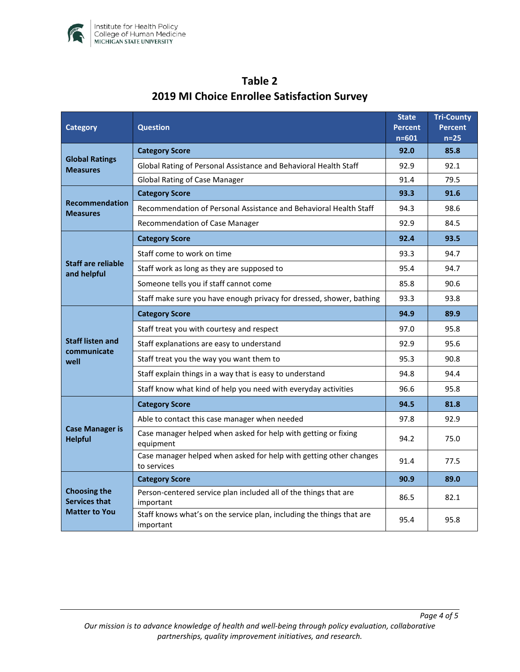

| <b>Category</b>                                                     | <b>Question</b>                                                                    |      | <b>Tri-County</b><br>Percent<br>$n=25$ |
|---------------------------------------------------------------------|------------------------------------------------------------------------------------|------|----------------------------------------|
| <b>Global Ratings</b><br><b>Measures</b>                            | <b>Category Score</b>                                                              |      | 85.8                                   |
|                                                                     | Global Rating of Personal Assistance and Behavioral Health Staff                   |      | 92.1                                   |
|                                                                     | <b>Global Rating of Case Manager</b>                                               |      | 79.5                                   |
| <b>Recommendation</b><br><b>Measures</b>                            | <b>Category Score</b>                                                              |      | 91.6                                   |
|                                                                     | Recommendation of Personal Assistance and Behavioral Health Staff                  |      | 98.6                                   |
|                                                                     | Recommendation of Case Manager                                                     |      | 84.5                                   |
| <b>Staff are reliable</b><br>and helpful                            | <b>Category Score</b>                                                              |      | 93.5                                   |
|                                                                     | Staff come to work on time                                                         |      | 94.7                                   |
|                                                                     | Staff work as long as they are supposed to                                         |      | 94.7                                   |
|                                                                     | Someone tells you if staff cannot come                                             |      | 90.6                                   |
|                                                                     | Staff make sure you have enough privacy for dressed, shower, bathing               | 93.3 | 93.8                                   |
| <b>Staff listen and</b><br>communicate<br>well                      | <b>Category Score</b>                                                              | 94.9 | 89.9                                   |
|                                                                     | Staff treat you with courtesy and respect                                          |      | 95.8                                   |
|                                                                     | Staff explanations are easy to understand                                          |      | 95.6                                   |
|                                                                     | Staff treat you the way you want them to                                           |      | 90.8                                   |
|                                                                     | Staff explain things in a way that is easy to understand                           |      | 94.4                                   |
|                                                                     | Staff know what kind of help you need with everyday activities                     |      | 95.8                                   |
| <b>Case Manager is</b><br><b>Helpful</b>                            | <b>Category Score</b>                                                              | 94.5 | 81.8                                   |
|                                                                     | Able to contact this case manager when needed                                      | 97.8 | 92.9                                   |
|                                                                     | Case manager helped when asked for help with getting or fixing<br>equipment        |      | 75.0                                   |
|                                                                     | Case manager helped when asked for help with getting other changes<br>to services  | 91.4 | 77.5                                   |
| <b>Choosing the</b><br><b>Services that</b><br><b>Matter to You</b> | <b>Category Score</b>                                                              | 90.9 | 89.0                                   |
|                                                                     | Person-centered service plan included all of the things that are<br>important      |      | 82.1                                   |
|                                                                     | Staff knows what's on the service plan, including the things that are<br>important | 95.4 | 95.8                                   |

# **Table 2 2019 MI Choice Enrollee Satisfaction Survey**